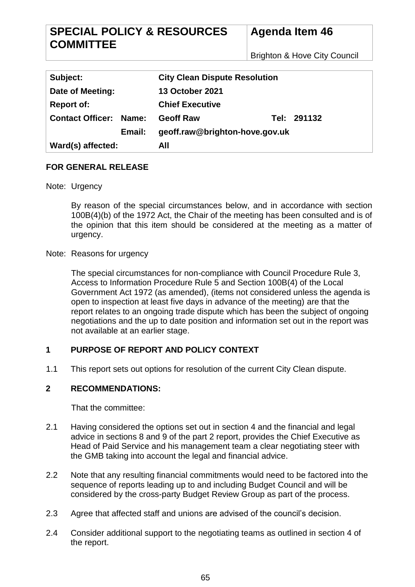| <b>SPECIAL POLICY &amp; RESOURCES</b> | <b>Agenda Item 46</b>                   |
|---------------------------------------|-----------------------------------------|
| <b>COMMITTEE</b>                      |                                         |
|                                       | <b>Brighton &amp; Hove City Council</b> |

| Subject:                      |        | <b>City Clean Dispute Resolution</b> |  |             |
|-------------------------------|--------|--------------------------------------|--|-------------|
| Date of Meeting:              |        | <b>13 October 2021</b>               |  |             |
| <b>Report of:</b>             |        | <b>Chief Executive</b>               |  |             |
| <b>Contact Officer: Name:</b> |        | <b>Geoff Raw</b>                     |  | Tel: 291132 |
|                               | Email: | geoff.raw@brighton-hove.gov.uk       |  |             |
| Ward(s) affected:             |        | All                                  |  |             |

# **FOR GENERAL RELEASE**

Note: Urgency

By reason of the special circumstances below, and in accordance with section 100B(4)(b) of the 1972 Act, the Chair of the meeting has been consulted and is of the opinion that this item should be considered at the meeting as a matter of urgency.

Note: Reasons for urgency

The special circumstances for non-compliance with Council Procedure Rule 3, Access to Information Procedure Rule 5 and Section 100B(4) of the Local Government Act 1972 (as amended), (items not considered unless the agenda is open to inspection at least five days in advance of the meeting) are that the report relates to an ongoing trade dispute which has been the subject of ongoing negotiations and the up to date position and information set out in the report was not available at an earlier stage.

# **1 PURPOSE OF REPORT AND POLICY CONTEXT**

1.1 This report sets out options for resolution of the current City Clean dispute.

# **2 RECOMMENDATIONS:**

That the committee:

- 2.1 Having considered the options set out in section 4 and the financial and legal advice in sections 8 and 9 of the part 2 report, provides the Chief Executive as Head of Paid Service and his management team a clear negotiating steer with the GMB taking into account the legal and financial advice.
- 2.2 Note that any resulting financial commitments would need to be factored into the sequence of reports leading up to and including Budget Council and will be considered by the cross-party Budget Review Group as part of the process.
- 2.3 Agree that affected staff and unions are advised of the council's decision.
- 2.4 Consider additional support to the negotiating teams as outlined in section 4 of the report.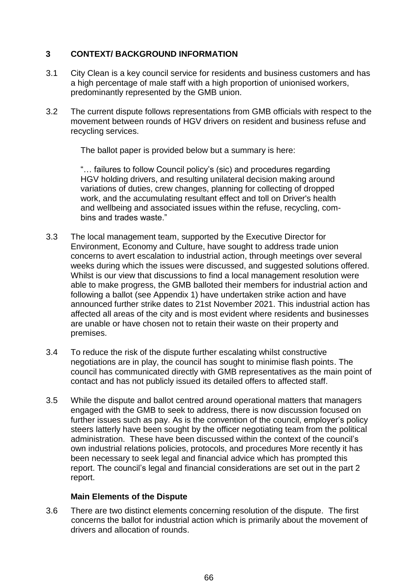# **3 CONTEXT/ BACKGROUND INFORMATION**

- 3.1 City Clean is a key council service for residents and business customers and has a high percentage of male staff with a high proportion of unionised workers, predominantly represented by the GMB union.
- 3.2 The current dispute follows representations from GMB officials with respect to the movement between rounds of HGV drivers on resident and business refuse and recycling services.

The ballot paper is provided below but a summary is here:

"… failures to follow Council policy's (sic) and procedures regarding HGV holding drivers, and resulting unilateral decision making around variations of duties, crew changes, planning for collecting of dropped work, and the accumulating resultant effect and toll on Driver's health and wellbeing and associated issues within the refuse, recycling, combins and trades waste."

- 3.3 The local management team, supported by the Executive Director for Environment, Economy and Culture, have sought to address trade union concerns to avert escalation to industrial action, through meetings over several weeks during which the issues were discussed, and suggested solutions offered. Whilst is our view that discussions to find a local management resolution were able to make progress, the GMB balloted their members for industrial action and following a ballot (see Appendix 1) have undertaken strike action and have announced further strike dates to 21st November 2021. This industrial action has affected all areas of the city and is most evident where residents and businesses are unable or have chosen not to retain their waste on their property and premises.
- 3.4 To reduce the risk of the dispute further escalating whilst constructive negotiations are in play, the council has sought to minimise flash points. The council has communicated directly with GMB representatives as the main point of contact and has not publicly issued its detailed offers to affected staff.
- 3.5 While the dispute and ballot centred around operational matters that managers engaged with the GMB to seek to address, there is now discussion focused on further issues such as pay. As is the convention of the council, employer's policy steers latterly have been sought by the officer negotiating team from the political administration. These have been discussed within the context of the council's own industrial relations policies, protocols, and procedures More recently it has been necessary to seek legal and financial advice which has prompted this report. The council's legal and financial considerations are set out in the part 2 report.

# **Main Elements of the Dispute**

3.6 There are two distinct elements concerning resolution of the dispute. The first concerns the ballot for industrial action which is primarily about the movement of drivers and allocation of rounds.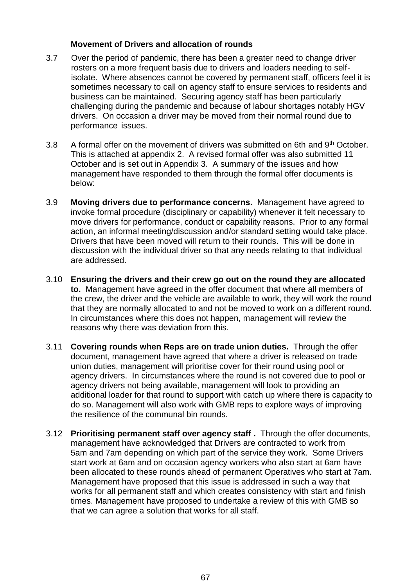# **Movement of Drivers and allocation of rounds**

- 3.7 Over the period of pandemic, there has been a greater need to change driver rosters on a more frequent basis due to drivers and loaders needing to selfisolate. Where absences cannot be covered by permanent staff, officers feel it is sometimes necessary to call on agency staff to ensure services to residents and business can be maintained. Securing agency staff has been particularly challenging during the pandemic and because of labour shortages notably HGV drivers. On occasion a driver may be moved from their normal round due to performance issues.
- 3.8 A formal offer on the movement of drivers was submitted on 6th and 9<sup>th</sup> October. This is attached at appendix 2. A revised formal offer was also submitted 11 October and is set out in Appendix 3. A summary of the issues and how management have responded to them through the formal offer documents is below:
- 3.9 **Moving drivers due to performance concerns.** Management have agreed to invoke formal procedure (disciplinary or capability) whenever it felt necessary to move drivers for performance, conduct or capability reasons. Prior to any formal action, an informal meeting/discussion and/or standard setting would take place. Drivers that have been moved will return to their rounds. This will be done in discussion with the individual driver so that any needs relating to that individual are addressed.
- 3.10 **Ensuring the drivers and their crew go out on the round they are allocated to.** Management have agreed in the offer document that where all members of the crew, the driver and the vehicle are available to work, they will work the round that they are normally allocated to and not be moved to work on a different round. In circumstances where this does not happen, management will review the reasons why there was deviation from this.
- 3.11 **Covering rounds when Reps are on trade union duties.** Through the offer document, management have agreed that where a driver is released on trade union duties, management will prioritise cover for their round using pool or agency drivers. In circumstances where the round is not covered due to pool or agency drivers not being available, management will look to providing an additional loader for that round to support with catch up where there is capacity to do so. Management will also work with GMB reps to explore ways of improving the resilience of the communal bin rounds.
- 3.12 **Prioritising permanent staff over agency staff .** Through the offer documents, management have acknowledged that Drivers are contracted to work from 5am and 7am depending on which part of the service they work. Some Drivers start work at 6am and on occasion agency workers who also start at 6am have been allocated to these rounds ahead of permanent Operatives who start at 7am. Management have proposed that this issue is addressed in such a way that works for all permanent staff and which creates consistency with start and finish times. Management have proposed to undertake a review of this with GMB so that we can agree a solution that works for all staff.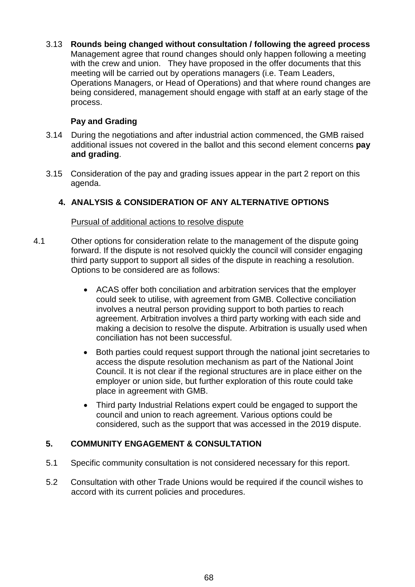3.13 **Rounds being changed without consultation / following the agreed process**  Management agree that round changes should only happen following a meeting with the crew and union. They have proposed in the offer documents that this meeting will be carried out by operations managers (i.e. Team Leaders, Operations Managers, or Head of Operations) and that where round changes are being considered, management should engage with staff at an early stage of the process.

# **Pay and Grading**

- 3.14 During the negotiations and after industrial action commenced, the GMB raised additional issues not covered in the ballot and this second element concerns **pay and grading**.
- 3.15 Consideration of the pay and grading issues appear in the part 2 report on this agenda.

# **4. ANALYSIS & CONSIDERATION OF ANY ALTERNATIVE OPTIONS**

# Pursual of additional actions to resolve dispute

- 4.1 Other options for consideration relate to the management of the dispute going forward. If the dispute is not resolved quickly the council will consider engaging third party support to support all sides of the dispute in reaching a resolution. Options to be considered are as follows:
	- ACAS offer both conciliation and arbitration services that the employer could seek to utilise, with agreement from GMB. Collective conciliation involves a neutral person providing support to both parties to reach agreement. Arbitration involves a third party working with each side and making a decision to resolve the dispute. Arbitration is usually used when conciliation has not been successful.
	- Both parties could request support through the national joint secretaries to access the dispute resolution mechanism as part of the National Joint Council. It is not clear if the regional structures are in place either on the employer or union side, but further exploration of this route could take place in agreement with GMB.
	- Third party Industrial Relations expert could be engaged to support the council and union to reach agreement. Various options could be considered, such as the support that was accessed in the 2019 dispute.

# **5. COMMUNITY ENGAGEMENT & CONSULTATION**

- 5.1 Specific community consultation is not considered necessary for this report.
- 5.2 Consultation with other Trade Unions would be required if the council wishes to accord with its current policies and procedures.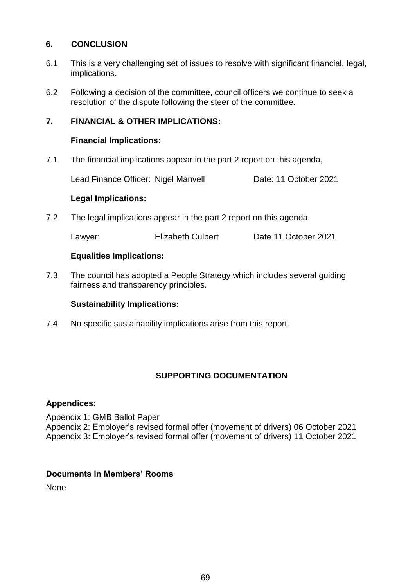# **6. CONCLUSION**

- 6.1 This is a very challenging set of issues to resolve with significant financial, legal, implications.
- 6.2 Following a decision of the committee, council officers we continue to seek a resolution of the dispute following the steer of the committee.

# **7. FINANCIAL & OTHER IMPLICATIONS:**

# **Financial Implications:**

7.1 The financial implications appear in the part 2 report on this agenda,

Lead Finance Officer: Nigel Manvell **Date: 11 October 2021** 

# **Legal Implications:**

7.2 The legal implications appear in the part 2 report on this agenda

Lawyer: Elizabeth Culbert Date 11 October 2021

# **Equalities Implications:**

7.3 The council has adopted a People Strategy which includes several guiding fairness and transparency principles.

# **Sustainability Implications:**

7.4 No specific sustainability implications arise from this report.

# **SUPPORTING DOCUMENTATION**

### **Appendices**:

Appendix 1: GMB Ballot Paper

Appendix 2: Employer's revised formal offer (movement of drivers) 06 October 2021 Appendix 3: Employer's revised formal offer (movement of drivers) 11 October 2021

# **Documents in Members' Rooms**

**None**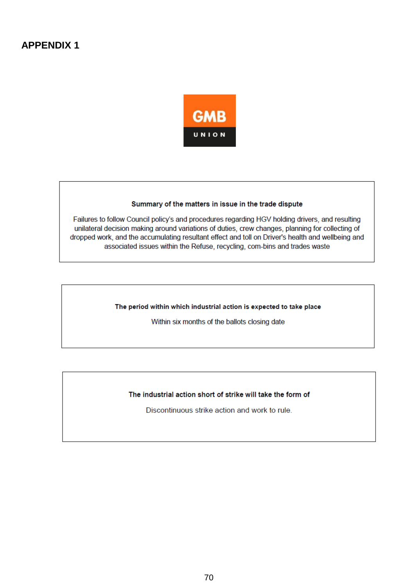

#### Summary of the matters in issue in the trade dispute

Failures to follow Council policy's and procedures regarding HGV holding drivers, and resulting unilateral decision making around variations of duties, crew changes, planning for collecting of dropped work, and the accumulating resultant effect and toll on Driver's health and wellbeing and associated issues within the Refuse, recycling, com-bins and trades waste

The period within which industrial action is expected to take place

Within six months of the ballots closing date

#### The industrial action short of strike will take the form of

Discontinuous strike action and work to rule.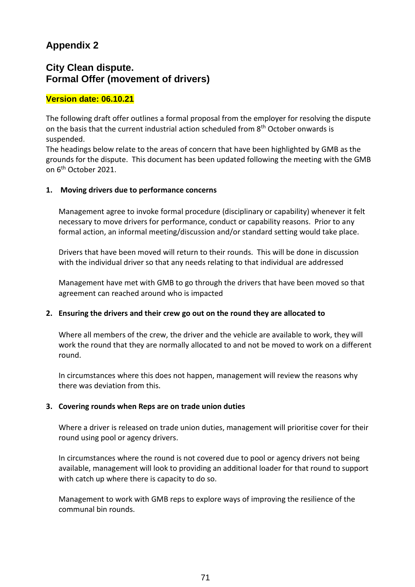# **Appendix 2**

# **City Clean dispute. Formal Offer (movement of drivers)**

# **Version date: 06.10.21**

The following draft offer outlines a formal proposal from the employer for resolving the dispute on the basis that the current industrial action scheduled from 8<sup>th</sup> October onwards is suspended.

The headings below relate to the areas of concern that have been highlighted by GMB as the grounds for the dispute. This document has been updated following the meeting with the GMB on 6th October 2021.

### **1. Moving drivers due to performance concerns**

Management agree to invoke formal procedure (disciplinary or capability) whenever it felt necessary to move drivers for performance, conduct or capability reasons. Prior to any formal action, an informal meeting/discussion and/or standard setting would take place.

Drivers that have been moved will return to their rounds. This will be done in discussion with the individual driver so that any needs relating to that individual are addressed

Management have met with GMB to go through the drivers that have been moved so that agreement can reached around who is impacted

# **2. Ensuring the drivers and their crew go out on the round they are allocated to**

Where all members of the crew, the driver and the vehicle are available to work, they will work the round that they are normally allocated to and not be moved to work on a different round.

In circumstances where this does not happen, management will review the reasons why there was deviation from this.

# **3. Covering rounds when Reps are on trade union duties**

Where a driver is released on trade union duties, management will prioritise cover for their round using pool or agency drivers.

In circumstances where the round is not covered due to pool or agency drivers not being available, management will look to providing an additional loader for that round to support with catch up where there is capacity to do so.

Management to work with GMB reps to explore ways of improving the resilience of the communal bin rounds.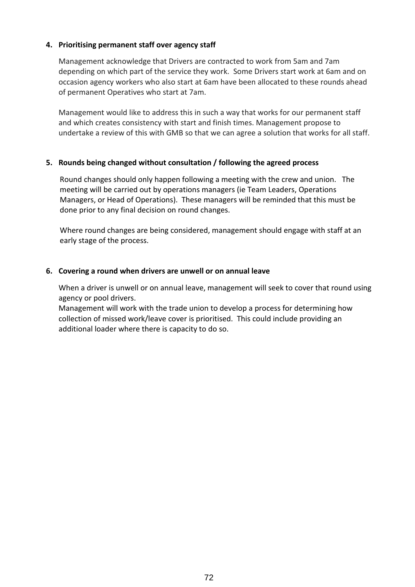### **4. Prioritising permanent staff over agency staff**

Management acknowledge that Drivers are contracted to work from 5am and 7am depending on which part of the service they work. Some Drivers start work at 6am and on occasion agency workers who also start at 6am have been allocated to these rounds ahead of permanent Operatives who start at 7am.

Management would like to address this in such a way that works for our permanent staff and which creates consistency with start and finish times. Management propose to undertake a review of this with GMB so that we can agree a solution that works for all staff.

### **5. Rounds being changed without consultation / following the agreed process**

Round changes should only happen following a meeting with the crew and union. The meeting will be carried out by operations managers (ie Team Leaders, Operations Managers, or Head of Operations). These managers will be reminded that this must be done prior to any final decision on round changes.

Where round changes are being considered, management should engage with staff at an early stage of the process.

### **6. Covering a round when drivers are unwell or on annual leave**

When a driver is unwell or on annual leave, management will seek to cover that round using agency or pool drivers.

Management will work with the trade union to develop a process for determining how collection of missed work/leave cover is prioritised. This could include providing an additional loader where there is capacity to do so.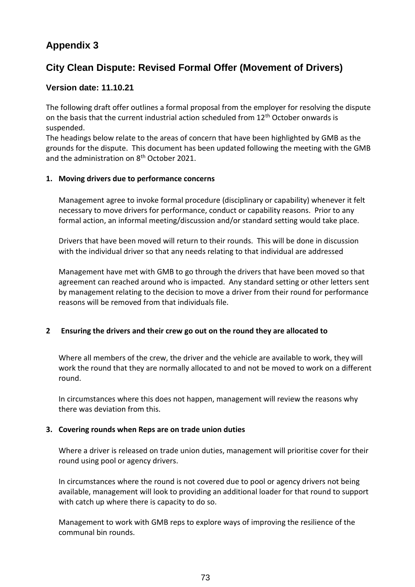# **Appendix 3**

# **City Clean Dispute: Revised Formal Offer (Movement of Drivers)**

# **Version date: 11.10.21**

The following draft offer outlines a formal proposal from the employer for resolving the dispute on the basis that the current industrial action scheduled from  $12<sup>th</sup>$  October onwards is suspended.

The headings below relate to the areas of concern that have been highlighted by GMB as the grounds for the dispute. This document has been updated following the meeting with the GMB and the administration on 8<sup>th</sup> October 2021.

# **1. Moving drivers due to performance concerns**

Management agree to invoke formal procedure (disciplinary or capability) whenever it felt necessary to move drivers for performance, conduct or capability reasons. Prior to any formal action, an informal meeting/discussion and/or standard setting would take place.

Drivers that have been moved will return to their rounds. This will be done in discussion with the individual driver so that any needs relating to that individual are addressed

Management have met with GMB to go through the drivers that have been moved so that agreement can reached around who is impacted. Any standard setting or other letters sent by management relating to the decision to move a driver from their round for performance reasons will be removed from that individuals file.

# **2 Ensuring the drivers and their crew go out on the round they are allocated to**

Where all members of the crew, the driver and the vehicle are available to work, they will work the round that they are normally allocated to and not be moved to work on a different round.

In circumstances where this does not happen, management will review the reasons why there was deviation from this.

# **3. Covering rounds when Reps are on trade union duties**

Where a driver is released on trade union duties, management will prioritise cover for their round using pool or agency drivers.

In circumstances where the round is not covered due to pool or agency drivers not being available, management will look to providing an additional loader for that round to support with catch up where there is capacity to do so.

Management to work with GMB reps to explore ways of improving the resilience of the communal bin rounds.